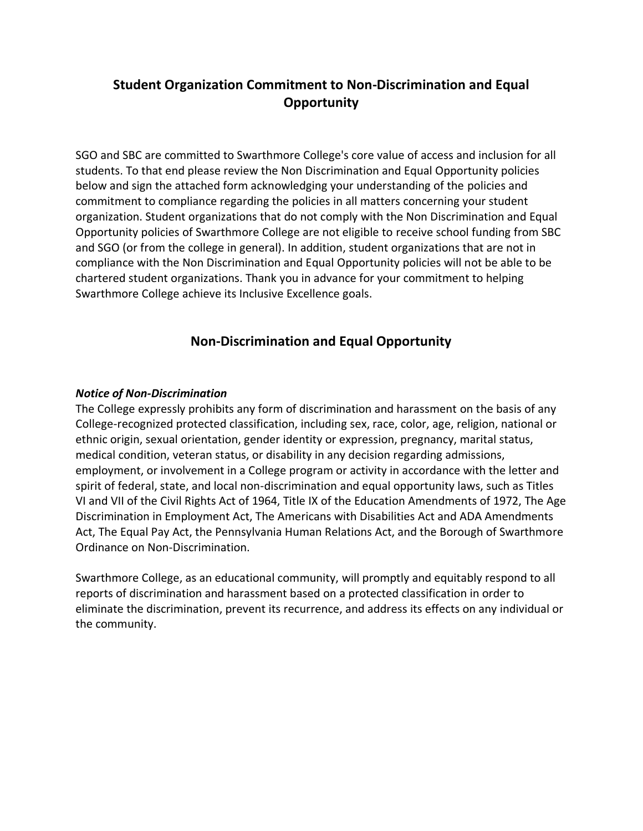## **Student Organization Commitment to Non-Discrimination and Equal Opportunity**

SGO and SBC are committed to Swarthmore College's core value of access and inclusion for all students. To that end please review the Non Discrimination and Equal Opportunity policies below and sign the attached form acknowledging your understanding of the policies and commitment to compliance regarding the policies in all matters concerning your student organization. Student organizations that do not comply with the Non Discrimination and Equal Opportunity policies of Swarthmore College are not eligible to receive school funding from SBC and SGO (or from the college in general). In addition, student organizations that are not in compliance with the Non Discrimination and Equal Opportunity policies will not be able to be chartered student organizations. Thank you in advance for your commitment to helping Swarthmore College achieve its Inclusive Excellence goals.

## **Non-Discrimination and Equal Opportunity**

#### *Notice of Non-Discrimination*

The College expressly prohibits any form of discrimination and harassment on the basis of any College-recognized protected classification, including sex, race, color, age, religion, national or ethnic origin, sexual orientation, gender identity or expression, pregnancy, marital status, medical condition, veteran status, or disability in any decision regarding admissions, employment, or involvement in a College program or activity in accordance with the letter and spirit of federal, state, and local non-discrimination and equal opportunity laws, such as Titles VI and VII of the Civil Rights Act of 1964, Title IX of the Education Amendments of 1972, The Age Discrimination in Employment Act, The Americans with Disabilities Act and ADA Amendments Act, The Equal Pay Act, the Pennsylvania Human Relations Act, and the Borough of Swarthmore Ordinance on Non-Discrimination.

Swarthmore College, as an educational community, will promptly and equitably respond to all reports of discrimination and harassment based on a protected classification in order to eliminate the discrimination, prevent its recurrence, and address its effects on any individual or the community.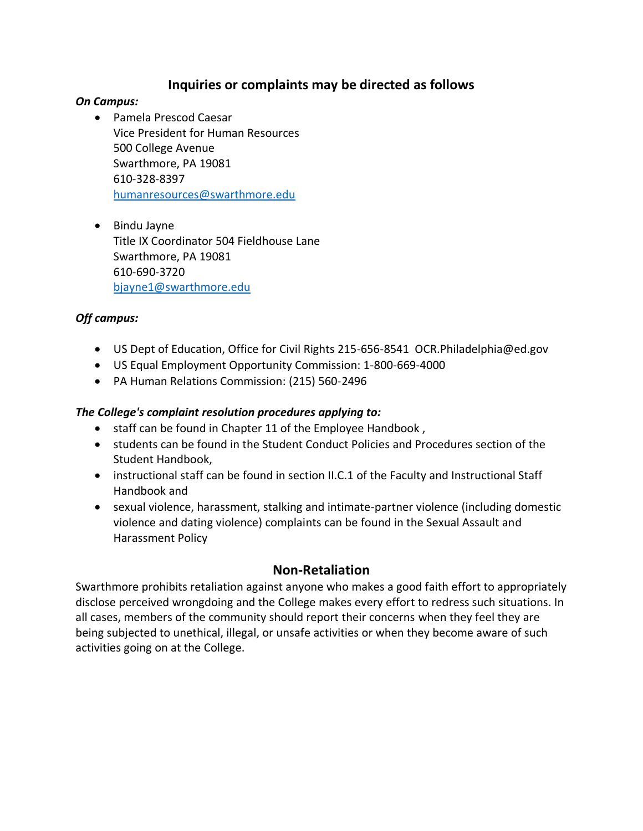## **Inquiries or complaints may be directed as follows**

#### *On Campus:*

- Pamela Prescod Caesar Vice President for Human Resources 500 College Avenue Swarthmore, PA 19081 610-328-8397 [humanresources@swarthmore.edu](mailto:humanresources@swarthmore.edu)
- Bindu Jayne Title IX Coordinator 504 Fieldhouse Lane Swarthmore, PA 19081 610-690-3720 [bjayne1@swarthmore.edu](mailto:bjayne1@swarthmore.edu)

#### *Off campus:*

- US Dept of Education, Office for Civil Rights 215-656-8541 OCR.Philadelphia@ed.gov
- US Equal Employment Opportunity Commission: 1-800-669-4000
- PA Human Relations Commission: (215) 560-2496

#### *The College's complaint resolution procedures applying to:*

- staff can be found in Chapter 11 of the Employee Handbook ,
- students can be found in the Student Conduct Policies and Procedures section of the Student Handbook,
- instructional staff can be found in section II.C.1 of the Faculty and Instructional Staff Handbook and
- sexual violence, harassment, stalking and intimate-partner violence (including domestic violence and dating violence) complaints can be found in the Sexual Assault and Harassment Policy

## **Non-Retaliation**

Swarthmore prohibits retaliation against anyone who makes a good faith effort to appropriately disclose perceived wrongdoing and the College makes every effort to redress such situations. In all cases, members of the community should report their concerns when they feel they are being subjected to unethical, illegal, or unsafe activities or when they become aware of such activities going on at the College.